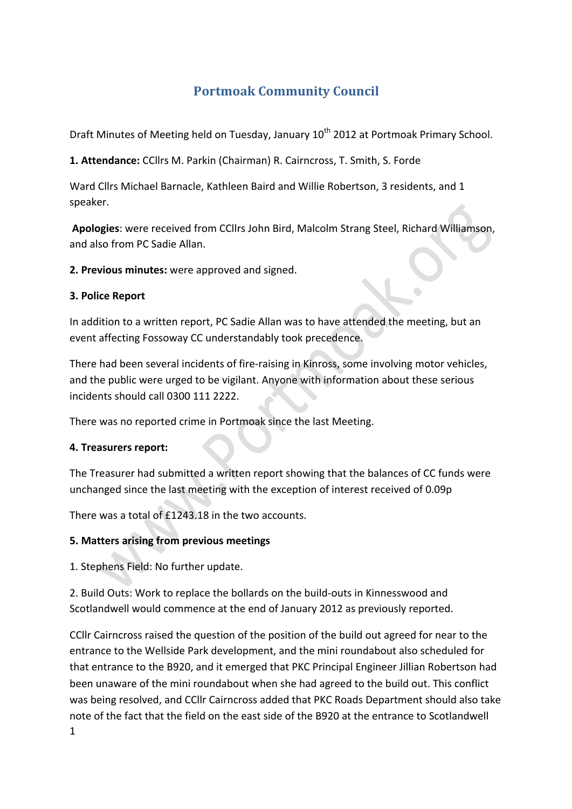# **Portmoak Community Council**

Draft Minutes of Meeting held on Tuesday, January 10<sup>th</sup> 2012 at Portmoak Primary School.

1. Attendance: CCllrs M. Parkin (Chairman) R. Cairncross, T. Smith, S. Forde

Ward Cllrs Michael Barnacle, Kathleen Baird and Willie Robertson, 3 residents, and 1 speaker.

**Apologies**: were received from CCllrs John Bird, Malcolm Strang Steel, Richard Williamson, and also from PC Sadie Allan.

**2. Previous minutes:** were approved and signed.

#### **3. Police Report**

In addition to a written report, PC Sadie Allan was to have attended the meeting, but an event affecting Fossoway CC understandably took precedence.

There had been several incidents of fire-raising in Kinross, some involving motor vehicles, and the public were urged to be vigilant. Anyone with information about these serious incidents should call 0300 111 2222.

There was no reported crime in Portmoak since the last Meeting.

### **4. Treasurers report:**

The Treasurer had submitted a written report showing that the balances of CC funds were unchanged since the last meeting with the exception of interest received of 0.09p

There was a total of £1243.18 in the two accounts.

### **5. Matters arising from previous meetings**

1. Stephens Field: No further update.

2. Build Outs: Work to replace the bollards on the build-outs in Kinnesswood and Scotlandwell would commence at the end of January 2012 as previously reported.

CCIIr Cairncross raised the question of the position of the build out agreed for near to the entrance to the Wellside Park development, and the mini roundabout also scheduled for that entrance to the B920, and it emerged that PKC Principal Engineer Jillian Robertson had been unaware of the mini roundabout when she had agreed to the build out. This conflict was being resolved, and CCllr Cairncross added that PKC Roads Department should also take note of the fact that the field on the east side of the B920 at the entrance to Scotlandwell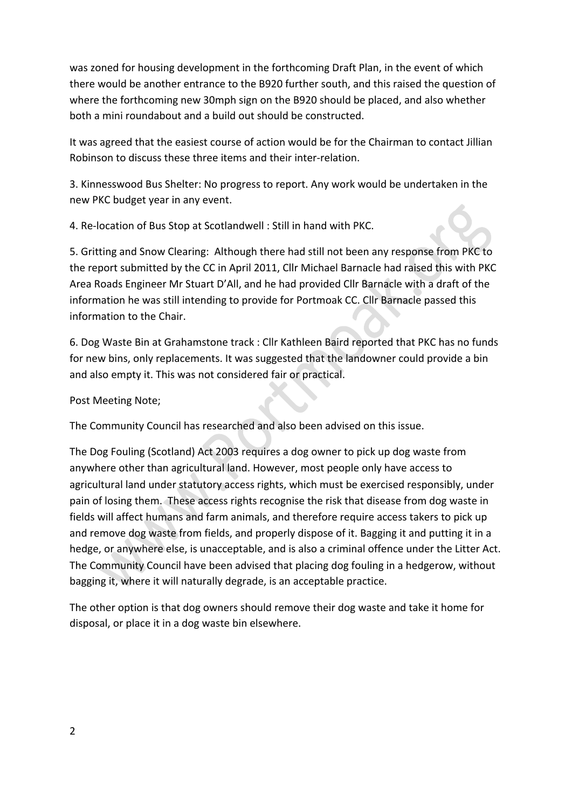was zoned for housing development in the forthcoming Draft Plan, in the event of which there would be another entrance to the B920 further south, and this raised the question of where the forthcoming new 30mph sign on the B920 should be placed, and also whether both a mini roundabout and a build out should be constructed.

It was agreed that the easiest course of action would be for the Chairman to contact Jillian Robinson to discuss these three items and their inter-relation.

3. Kinnesswood Bus Shelter: No progress to report. Any work would be undertaken in the new PKC budget year in any event.

4. Re-location of Bus Stop at Scotlandwell : Still in hand with PKC.

5. Gritting and Snow Clearing: Although there had still not been any response from PKC to the report submitted by the CC in April 2011, Cllr Michael Barnacle had raised this with PKC Area Roads Engineer Mr Stuart D'All, and he had provided Cllr Barnacle with a draft of the information he was still intending to provide for Portmoak CC. Cllr Barnacle passed this information to the Chair.

6. Dog Waste Bin at Grahamstone track : Cllr Kathleen Baird reported that PKC has no funds for new bins, only replacements. It was suggested that the landowner could provide a bin and also empty it. This was not considered fair or practical.

Post Meeting Note;

The Community Council has researched and also been advised on this issue.

The Dog Fouling (Scotland) Act 2003 requires a dog owner to pick up dog waste from anywhere other than agricultural land. However, most people only have access to agricultural land under statutory access rights, which must be exercised responsibly, under pain of losing them. These access rights recognise the risk that disease from dog waste in fields will affect humans and farm animals, and therefore require access takers to pick up and remove dog waste from fields, and properly dispose of it. Bagging it and putting it in a hedge, or anywhere else, is unacceptable, and is also a criminal offence under the Litter Act. The Community Council have been advised that placing dog fouling in a hedgerow, without bagging it, where it will naturally degrade, is an acceptable practice.

The other option is that dog owners should remove their dog waste and take it home for disposal, or place it in a dog waste bin elsewhere.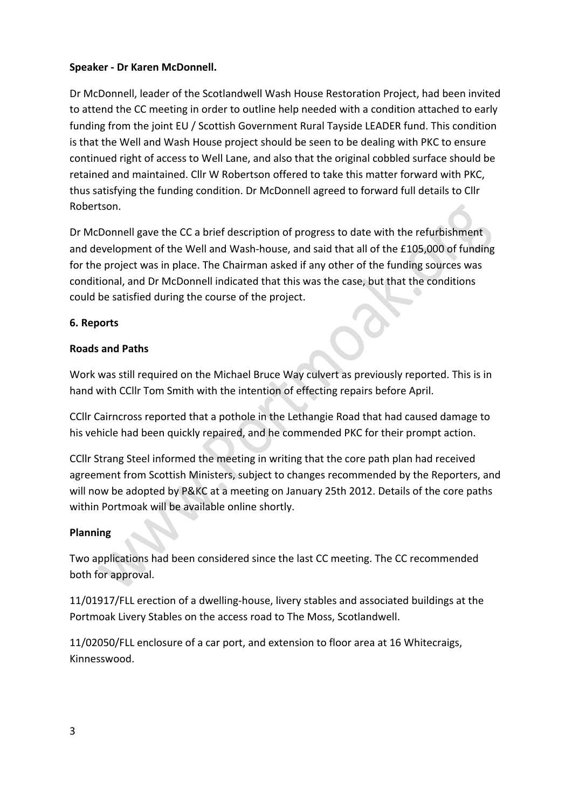## **Speaker - Dr Karen McDonnell.**

Dr McDonnell, leader of the Scotlandwell Wash House Restoration Project, had been invited to attend the CC meeting in order to outline help needed with a condition attached to early funding from the joint EU / Scottish Government Rural Tayside LEADER fund. This condition is that the Well and Wash House project should be seen to be dealing with PKC to ensure continued right of access to Well Lane, and also that the original cobbled surface should be retained and maintained. Cllr W Robertson offered to take this matter forward with PKC, thus satisfying the funding condition. Dr McDonnell agreed to forward full details to Cllr Robertson.

Dr McDonnell gave the CC a brief description of progress to date with the refurbishment and development of the Well and Wash-house, and said that all of the £105,000 of funding for the project was in place. The Chairman asked if any other of the funding sources was conditional, and Dr McDonnell indicated that this was the case, but that the conditions could be satisfied during the course of the project.

## **6. Reports**

## **Roads and Paths**

Work was still required on the Michael Bruce Way culvert as previously reported. This is in hand with CCIIr Tom Smith with the intention of effecting repairs before April.

CCIIr Cairncross reported that a pothole in the Lethangie Road that had caused damage to his vehicle had been quickly repaired, and he commended PKC for their prompt action.

CCIIr Strang Steel informed the meeting in writing that the core path plan had received agreement from Scottish Ministers, subject to changes recommended by the Reporters, and will now be adopted by P&KC at a meeting on January 25th 2012. Details of the core paths within Portmoak will be available online shortly.

### **Planning**

Two applications had been considered since the last CC meeting. The CC recommended both for approval.

11/01917/FLL erection of a dwelling-house, livery stables and associated buildings at the Portmoak Livery Stables on the access road to The Moss, Scotlandwell.

11/02050/FLL enclosure of a car port, and extension to floor area at 16 Whitecraigs, Kinnesswood.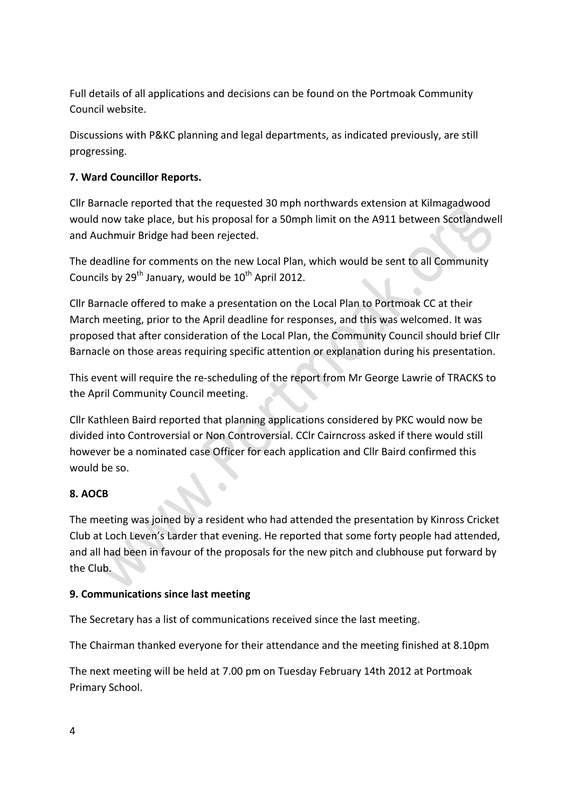Full details of all applications and decisions can be found on the Portmoak Community Council website.

Discussions with P&KC planning and legal departments, as indicated previously, are still progressing.

## **7. Ward Councillor Reports.**

Cllr Barnacle reported that the requested 30 mph northwards extension at Kilmagadwood would now take place, but his proposal for a 50mph limit on the A911 between Scotlandwell and Auchmuir Bridge had been rejected.

The deadline for comments on the new Local Plan, which would be sent to all Community Councils by  $29^{th}$  January, would be  $10^{th}$  April 2012.

Cllr Barnacle offered to make a presentation on the Local Plan to Portmoak CC at their March meeting, prior to the April deadline for responses, and this was welcomed. It was proposed that after consideration of the Local Plan, the Community Council should brief Cllr Barnacle on those areas requiring specific attention or explanation during his presentation.

This event will require the re-scheduling of the report from Mr George Lawrie of TRACKS to the April Community Council meeting.

Cllr Kathleen Baird reported that planning applications considered by PKC would now be divided into Controversial or Non Controversial. CCIr Cairncross asked if there would still however be a nominated case Officer for each application and Cllr Baird confirmed this would be so.

## **8. AOCB**

The meeting was joined by a resident who had attended the presentation by Kinross Cricket Club at Loch Leven's Larder that evening. He reported that some forty people had attended, and all had been in favour of the proposals for the new pitch and clubhouse put forward by the Club.

### **9. Communications since last meeting**

The Secretary has a list of communications received since the last meeting.

The Chairman thanked everyone for their attendance and the meeting finished at 8.10pm

The next meeting will be held at 7.00 pm on Tuesday February 14th 2012 at Portmoak Primary School.